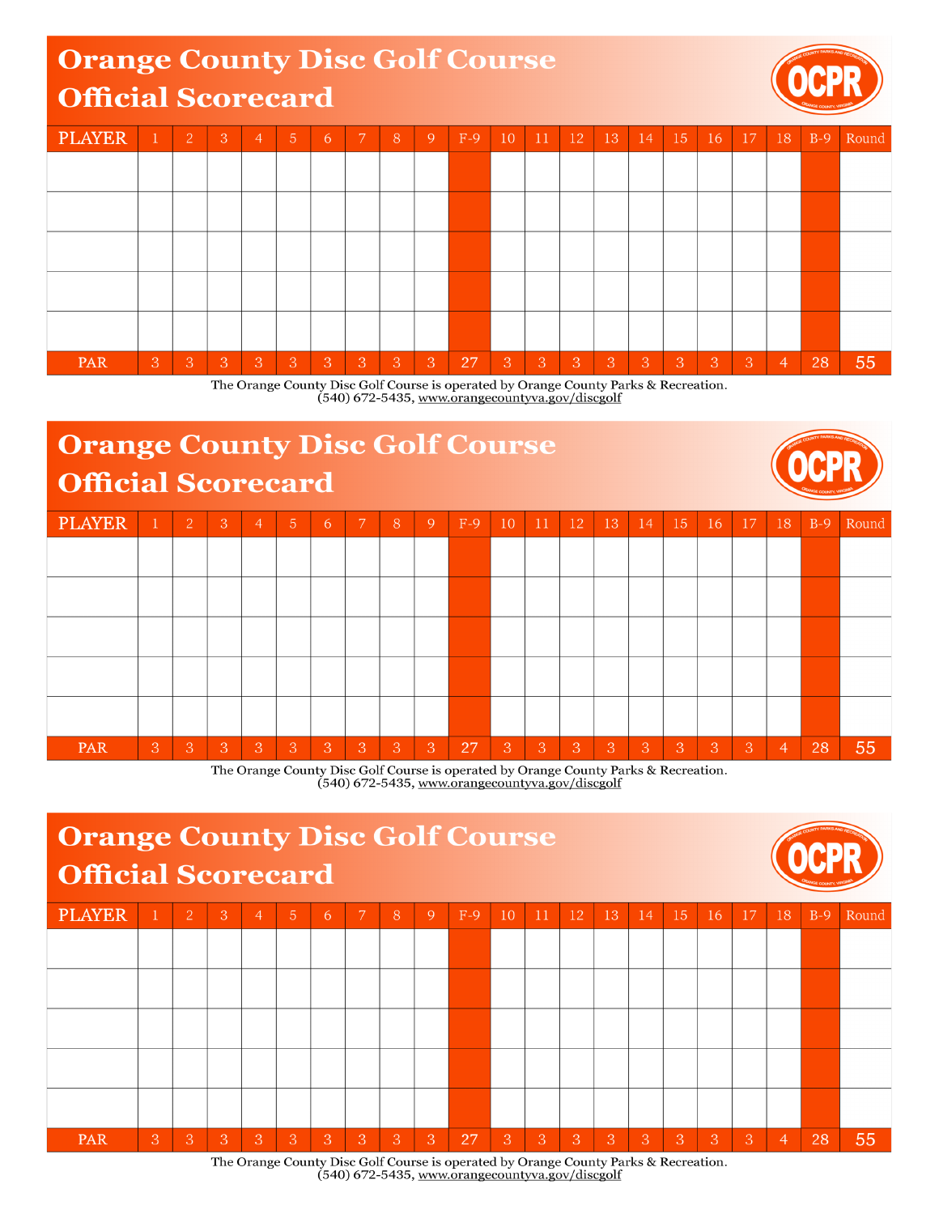## **Orange County Disc Golf Course Official Scorecard**



| <b>PLAYER</b> |   | $\overline{2}$ | -3 | $\overline{4}$ | $\sqrt{5}$ | 6 | $7^{\circ}$  | 18. | 9 | $F-9$ | 10 | 11 | <sup>12</sup> | 13             | 14             | 15 | 16 | 17 | 18             | $B-9$ | Round |
|---------------|---|----------------|----|----------------|------------|---|--------------|-----|---|-------|----|----|---------------|----------------|----------------|----|----|----|----------------|-------|-------|
|               |   |                |    |                |            |   |              |     |   |       |    |    |               |                |                |    |    |    |                |       |       |
|               |   |                |    |                |            |   |              |     |   |       |    |    |               |                |                |    |    |    |                |       |       |
|               |   |                |    |                |            |   |              |     |   |       |    |    |               |                |                |    |    |    |                |       |       |
|               |   |                |    |                |            |   |              |     |   |       |    |    |               |                |                |    |    |    |                |       |       |
|               |   |                |    |                |            |   |              |     |   |       |    |    |               |                |                |    |    |    |                |       |       |
| PAR           | 3 | 3              | 3  | 3              | 3          | 3 | <sup>3</sup> | 3   | 3 | 27    | 3  | 3  | 'З            | $\overline{3}$ | $\overline{3}$ | 3  | 3  | 3  | $\overline{4}$ | 28    | 55    |

The Orange County Disc Golf Course is operated by Orange County Parks & Recreation. (540) 672-5435, www.orangecountyva.gov/discgolf

## **Orange County Disc Golf Course** Official Scorecard

|               | University of the contract |                |   |                |                |    |   |   |              |       |    |    |    |     |    | ORANGE COUNTY, VIRGINA |    |    |                |       |       |
|---------------|----------------------------|----------------|---|----------------|----------------|----|---|---|--------------|-------|----|----|----|-----|----|------------------------|----|----|----------------|-------|-------|
| <b>PLAYER</b> | $\mathbf 1$                | $\overline{2}$ | 3 | $\overline{4}$ | 5              | 6  | 7 | 8 | 9            | $F-9$ | 10 | 11 | 12 | 13  | 14 | 15                     | 16 | 17 | 18             | $B-9$ | Round |
|               |                            |                |   |                |                |    |   |   |              |       |    |    |    |     |    |                        |    |    |                |       |       |
|               |                            |                |   |                |                |    |   |   |              |       |    |    |    |     |    |                        |    |    |                |       |       |
|               |                            |                |   |                |                |    |   |   |              |       |    |    |    |     |    |                        |    |    |                |       |       |
|               |                            |                |   |                |                |    |   |   |              |       |    |    |    |     |    |                        |    |    |                |       |       |
|               |                            |                |   |                |                |    |   |   |              |       |    |    |    |     |    |                        |    |    |                |       |       |
| PAR           | $\mathbf{3}$               | 3              | 3 | 3              | $\overline{3}$ | -3 | 3 | 3 | $\mathbf{3}$ | 27    | 3  | 3  | 3  | Ι3, | 3  | 3                      | 3  | 3  | $\overline{4}$ | 28    | 55    |

The Orange County Disc Golf Course is operated by Orange County Parks & Recreation. (540) 672-5435, www.orangecountyva.gov/discgolf



The Orange County Disc Golf Course is operated by Orange County Parks & Recreation. (540) 672-5435, www.orangecountyva.gov/discgolf